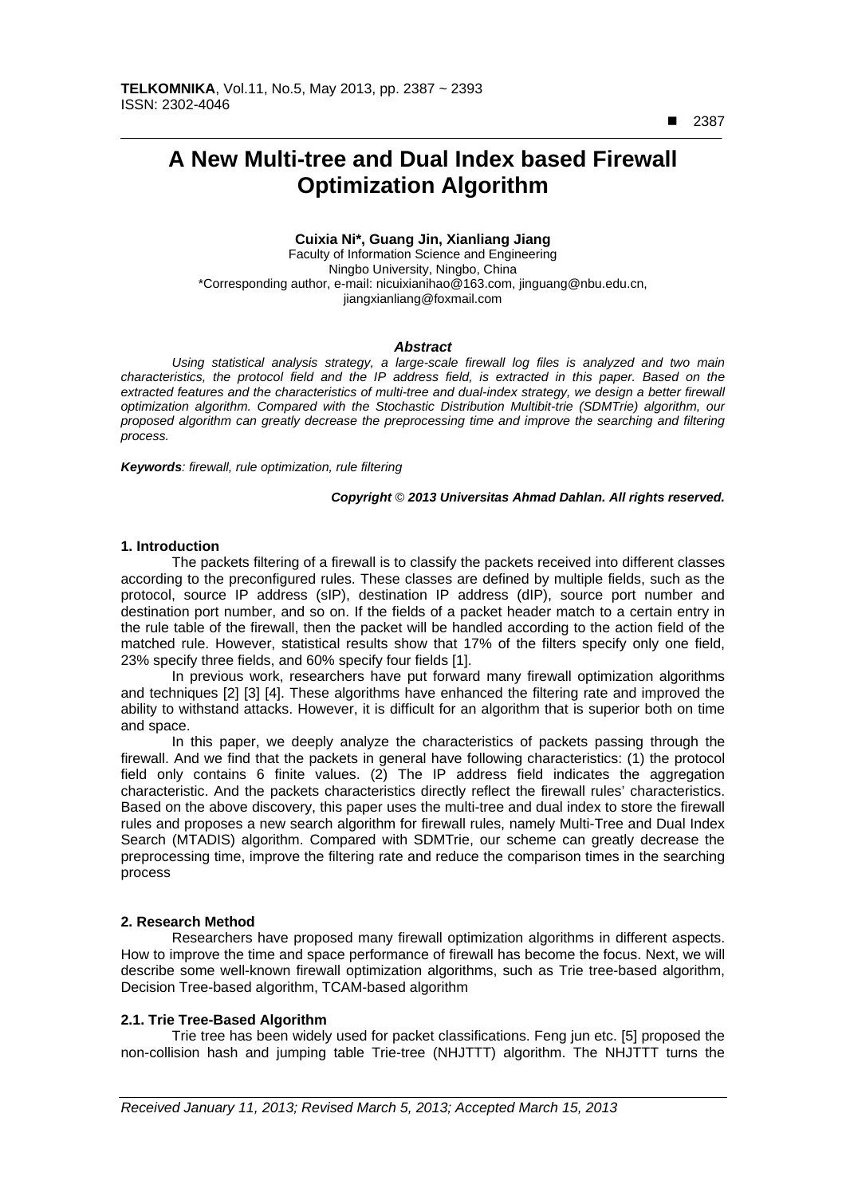■ 2387

 $\overline{a}$ 

# **A New Multi-tree and Dual Index based Firewall Optimization Algorithm**

## **Cuixia Ni\*, Guang Jin, Xianliang Jiang**

Faculty of Information Science and Engineering Ningbo University, Ningbo, China \*Corresponding author, e-mail: nicuixianihao@163.com, jinguang@nbu.edu.cn, jiangxianliang@foxmail.com

#### *Abstract*

*Using statistical analysis strategy, a large-scale firewall log files is analyzed and two main characteristics, the protocol field and the IP address field, is extracted in this paper. Based on the*  extracted features and the characteristics of multi-tree and dual-index strategy, we design a better firewall *optimization algorithm. Compared with the Stochastic Distribution Multibit-trie (SDMTrie) algorithm, our*  proposed algorithm can greatly decrease the preprocessing time and improve the searching and filtering *process.* 

*Keywords: firewall, rule optimization, rule filtering* 

#### *Copyright* © *2013 Universitas Ahmad Dahlan. All rights reserved.*

#### **1. Introduction**

The packets filtering of a firewall is to classify the packets received into different classes according to the preconfigured rules. These classes are defined by multiple fields, such as the protocol, source IP address (sIP), destination IP address (dIP), source port number and destination port number, and so on. If the fields of a packet header match to a certain entry in the rule table of the firewall, then the packet will be handled according to the action field of the matched rule. However, statistical results show that 17% of the filters specify only one field, 23% specify three fields, and 60% specify four fields [1].

In previous work, researchers have put forward many firewall optimization algorithms and techniques [2] [3] [4]. These algorithms have enhanced the filtering rate and improved the ability to withstand attacks. However, it is difficult for an algorithm that is superior both on time and space.

In this paper, we deeply analyze the characteristics of packets passing through the firewall. And we find that the packets in general have following characteristics: (1) the protocol field only contains 6 finite values. (2) The IP address field indicates the aggregation characteristic. And the packets characteristics directly reflect the firewall rules' characteristics. Based on the above discovery, this paper uses the multi-tree and dual index to store the firewall rules and proposes a new search algorithm for firewall rules, namely Multi-Tree and Dual Index Search (MTADIS) algorithm. Compared with SDMTrie, our scheme can greatly decrease the preprocessing time, improve the filtering rate and reduce the comparison times in the searching process

## **2. Research Method**

Researchers have proposed many firewall optimization algorithms in different aspects. How to improve the time and space performance of firewall has become the focus. Next, we will describe some well-known firewall optimization algorithms, such as Trie tree-based algorithm, Decision Tree-based algorithm, TCAM-based algorithm

## **2.1. Trie Tree-Based Algorithm**

Trie tree has been widely used for packet classifications. Feng jun etc. [5] proposed the non-collision hash and jumping table Trie-tree (NHJTTT) algorithm. The NHJTTT turns the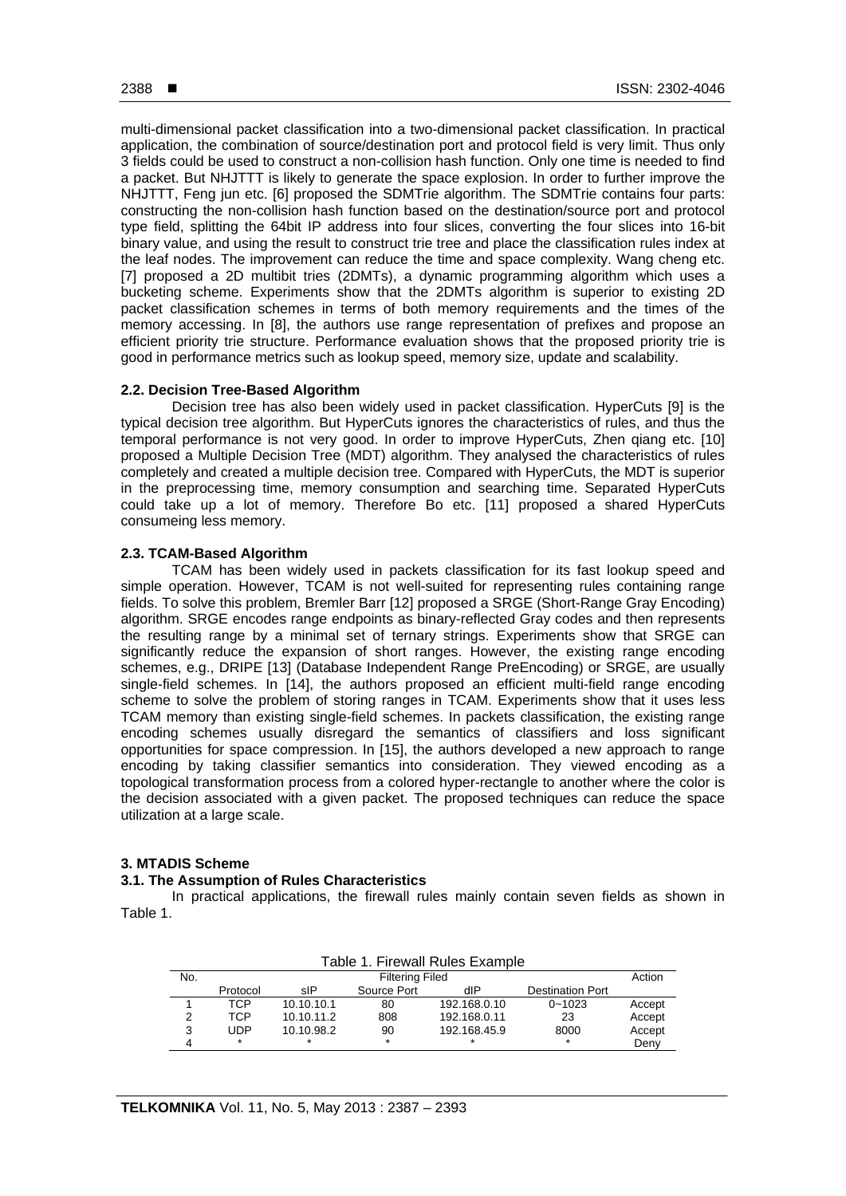multi-dimensional packet classification into a two-dimensional packet classification. In practical application, the combination of source/destination port and protocol field is very limit. Thus only 3 fields could be used to construct a non-collision hash function. Only one time is needed to find a packet. But NHJTTT is likely to generate the space explosion. In order to further improve the NHJTTT, Feng jun etc. [6] proposed the SDMTrie algorithm. The SDMTrie contains four parts: constructing the non-collision hash function based on the destination/source port and protocol type field, splitting the 64bit IP address into four slices, converting the four slices into 16-bit binary value, and using the result to construct trie tree and place the classification rules index at the leaf nodes. The improvement can reduce the time and space complexity. Wang cheng etc. [7] proposed a 2D multibit tries (2DMTs), a dynamic programming algorithm which uses a bucketing scheme. Experiments show that the 2DMTs algorithm is superior to existing 2D packet classification schemes in terms of both memory requirements and the times of the memory accessing. In [8], the authors use range representation of prefixes and propose an efficient priority trie structure. Performance evaluation shows that the proposed priority trie is good in performance metrics such as lookup speed, memory size, update and scalability.

#### **2.2. Decision Tree-Based Algorithm**

Decision tree has also been widely used in packet classification. HyperCuts [9] is the typical decision tree algorithm. But HyperCuts ignores the characteristics of rules, and thus the temporal performance is not very good. In order to improve HyperCuts, Zhen qiang etc. [10] proposed a Multiple Decision Tree (MDT) algorithm. They analysed the characteristics of rules completely and created a multiple decision tree. Compared with HyperCuts, the MDT is superior in the preprocessing time, memory consumption and searching time. Separated HyperCuts could take up a lot of memory. Therefore Bo etc. [11] proposed a shared HyperCuts consumeing less memory.

## **2.3. TCAM-Based Algorithm**

TCAM has been widely used in packets classification for its fast lookup speed and simple operation. However, TCAM is not well-suited for representing rules containing range fields. To solve this problem, Bremler Barr [12] proposed a SRGE (Short-Range Gray Encoding) algorithm. SRGE encodes range endpoints as binary-reflected Gray codes and then represents the resulting range by a minimal set of ternary strings. Experiments show that SRGE can significantly reduce the expansion of short ranges. However, the existing range encoding schemes, e.g., DRIPE [13] (Database Independent Range PreEncoding) or SRGE, are usually single-field schemes. In [14], the authors proposed an efficient multi-field range encoding scheme to solve the problem of storing ranges in TCAM. Experiments show that it uses less TCAM memory than existing single-field schemes. In packets classification, the existing range encoding schemes usually disregard the semantics of classifiers and loss significant opportunities for space compression. In [15], the authors developed a new approach to range encoding by taking classifier semantics into consideration. They viewed encoding as a topological transformation process from a colored hyper-rectangle to another where the color is the decision associated with a given packet. The proposed techniques can reduce the space utilization at a large scale.

## **3. MTADIS Scheme**

## **3.1. The Assumption of Rules Characteristics**

In practical applications, the firewall rules mainly contain seven fields as shown in Table 1.

| Table 1. Firewall Rules Example |            |                                                      |     |              |            |        |  |  |  |  |
|---------------------------------|------------|------------------------------------------------------|-----|--------------|------------|--------|--|--|--|--|
| No.                             |            | <b>Filtering Filed</b>                               |     |              |            |        |  |  |  |  |
|                                 | Protocol   | Source Port<br>sIP<br><b>Destination Port</b><br>dIP |     |              |            |        |  |  |  |  |
|                                 | TCP.       | 10.10.10.1                                           | 80  | 192.168.0.10 | $0 - 1023$ | Accept |  |  |  |  |
| 2                               | TCP        | 10.10.11.2                                           | 808 | 192.168.0.11 | 23         | Accept |  |  |  |  |
| 3                               | <b>UDP</b> | 10.10.98.2                                           | 90  | 192.168.45.9 | 8000       | Accept |  |  |  |  |
| 4                               | $\star$    | $\star$                                              | *   | $\star$      | $\star$    | Deny   |  |  |  |  |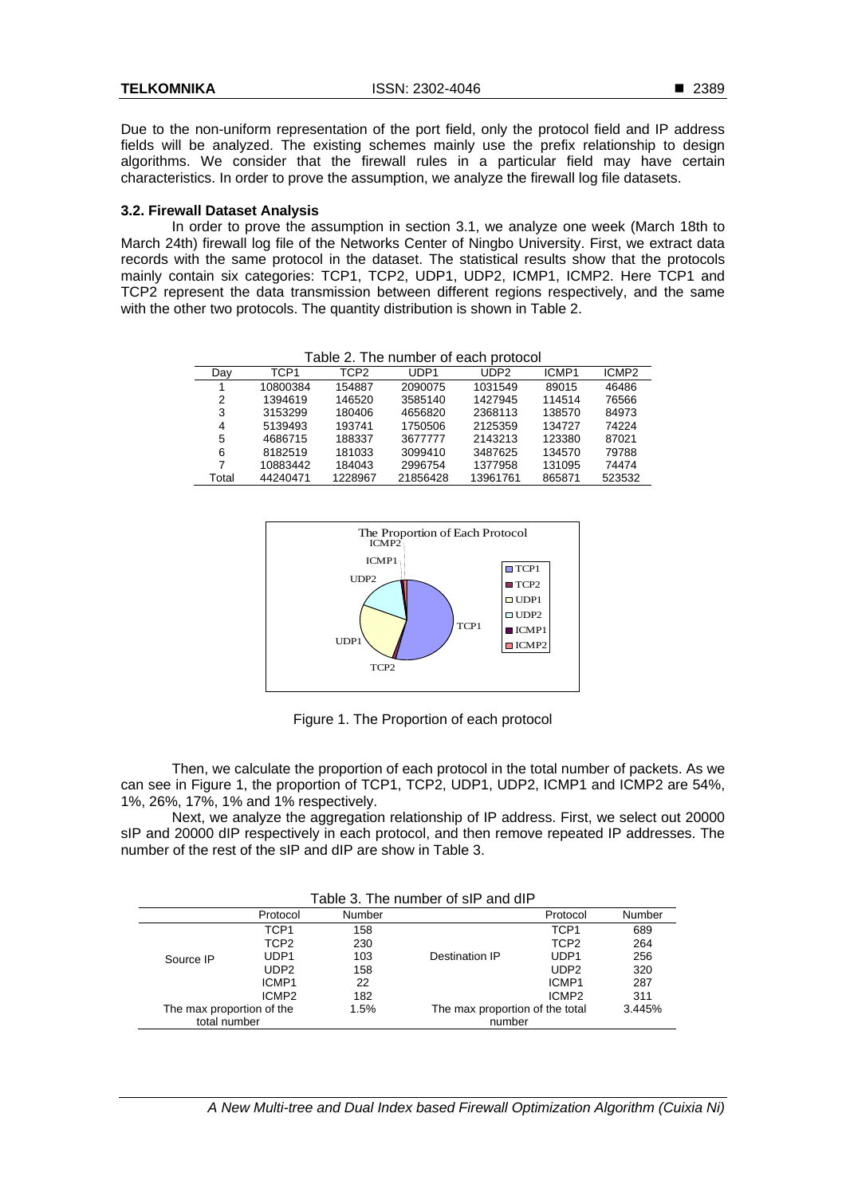Due to the non-uniform representation of the port field, only the protocol field and IP address fields will be analyzed. The existing schemes mainly use the prefix relationship to design algorithms. We consider that the firewall rules in a particular field may have certain characteristics. In order to prove the assumption, we analyze the firewall log file datasets.

#### **3.2. Firewall Dataset Analysis**

In order to prove the assumption in section 3.1, we analyze one week (March 18th to March 24th) firewall log file of the Networks Center of Ningbo University. First, we extract data records with the same protocol in the dataset. The statistical results show that the protocols mainly contain six categories: TCP1, TCP2, UDP1, UDP2, ICMP1, ICMP2. Here TCP1 and TCP2 represent the data transmission between different regions respectively, and the same with the other two protocols. The quantity distribution is shown in Table 2.

| Table 2. THe Humber of each protocol |          |         |                  |                  |        |                   |  |  |  |  |  |
|--------------------------------------|----------|---------|------------------|------------------|--------|-------------------|--|--|--|--|--|
| Day                                  | TCP1     | TCP2    | UDP <sub>1</sub> | UDP <sub>2</sub> | ICMP1  | ICMP <sub>2</sub> |  |  |  |  |  |
| 1                                    | 10800384 | 154887  | 2090075          | 1031549          | 89015  | 46486             |  |  |  |  |  |
| 2                                    | 1394619  | 146520  | 3585140          | 1427945          | 114514 | 76566             |  |  |  |  |  |
| 3                                    | 3153299  | 180406  | 4656820          | 2368113          | 138570 | 84973             |  |  |  |  |  |
| 4                                    | 5139493  | 193741  | 1750506          | 2125359          | 134727 | 74224             |  |  |  |  |  |
| 5                                    | 4686715  | 188337  | 3677777          | 2143213          | 123380 | 87021             |  |  |  |  |  |
| 6                                    | 8182519  | 181033  | 3099410          | 3487625          | 134570 | 79788             |  |  |  |  |  |
| 7                                    | 10883442 | 184043  | 2996754          | 1377958          | 131095 | 74474             |  |  |  |  |  |
| Total                                | 44240471 | 1228967 | 21856428         | 13961761         | 865871 | 523532            |  |  |  |  |  |

Table 2. The number of each protocol



Figure 1. The Proportion of each protocol

Then, we calculate the proportion of each protocol in the total number of packets. As we can see in Figure 1, the proportion of TCP1, TCP2, UDP1, UDP2, ICMP1 and ICMP2 are 54%, 1%, 26%, 17%, 1% and 1% respectively.

Next, we analyze the aggregation relationship of IP address. First, we select out 20000 sIP and 20000 dIP respectively in each protocol, and then remove repeated IP addresses. The number of the rest of the sIP and dIP are show in Table 3.

Table 3. The number of sIP and dIP

|                           | Protocol          | Number |                                 | Protocol          | Number |
|---------------------------|-------------------|--------|---------------------------------|-------------------|--------|
|                           | TCP1              | 158    |                                 | TCP1              | 689    |
|                           | TCP <sub>2</sub>  | 230    |                                 | TCP <sub>2</sub>  | 264    |
| Source IP                 | UDP1              | 103    | Destination IP                  | UDP <sub>1</sub>  | 256    |
|                           | UDP <sub>2</sub>  | 158    |                                 | UDP <sub>2</sub>  | 320    |
|                           | ICMP1             | 22     |                                 | ICMP1             | 287    |
|                           | ICMP <sub>2</sub> | 182    |                                 | ICMP <sub>2</sub> | 311    |
| The max proportion of the |                   | 1.5%   | The max proportion of the total |                   | 3.445% |
| total number              |                   |        | number                          |                   |        |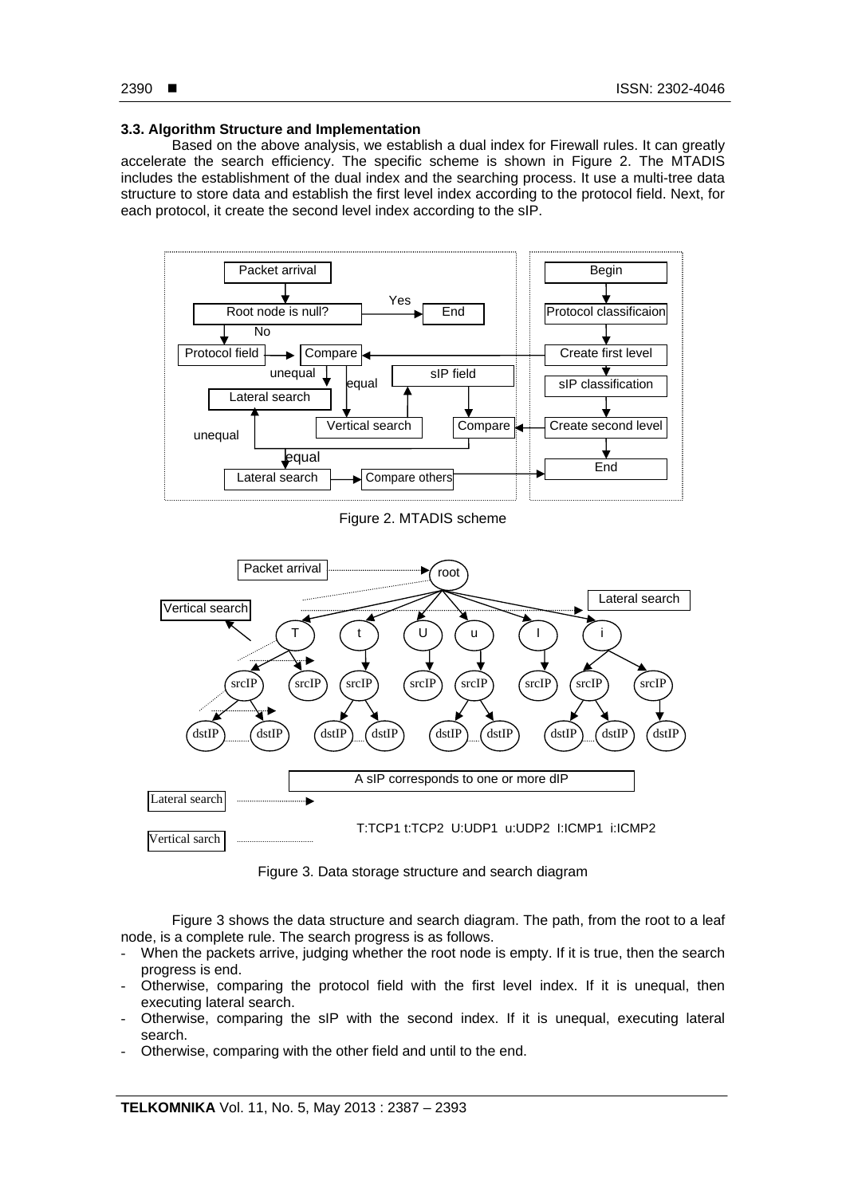#### **3.3. Algorithm Structure and Implementation**

Based on the above analysis, we establish a dual index for Firewall rules. It can greatly accelerate the search efficiency. The specific scheme is shown in Figure 2. The MTADIS includes the establishment of the dual index and the searching process. It use a multi-tree data structure to store data and establish the first level index according to the protocol field. Next, for each protocol, it create the second level index according to the sIP.



Figure 2. MTADIS scheme



Figure 3. Data storage structure and search diagram

Figure 3 shows the data structure and search diagram. The path, from the root to a leaf node, is a complete rule. The search progress is as follows.

- When the packets arrive, judging whether the root node is empty. If it is true, then the search progress is end.
- Otherwise, comparing the protocol field with the first level index. If it is unequal, then executing lateral search.
- Otherwise, comparing the sIP with the second index. If it is unequal, executing lateral search.
- Otherwise, comparing with the other field and until to the end.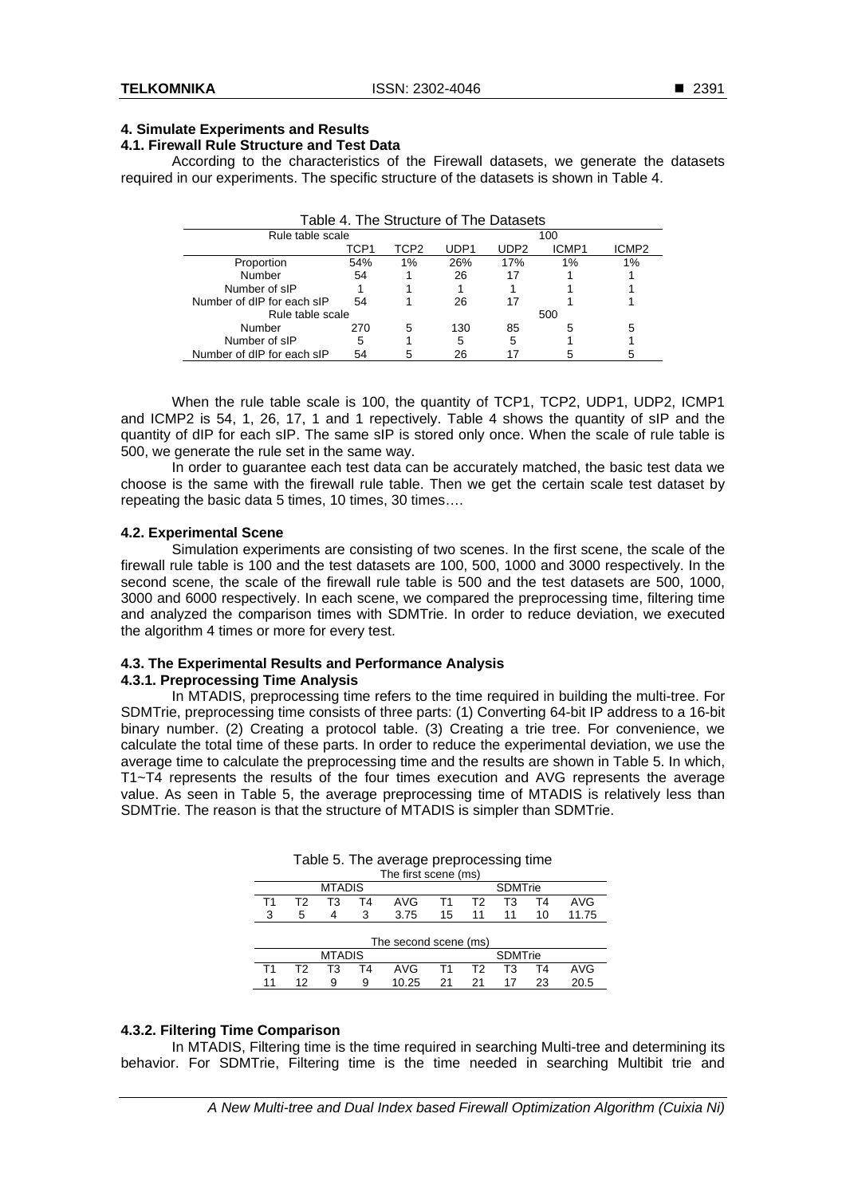#### ■ 2391

### **4. Simulate Experiments and Results**

## **4.1. Firewall Rule Structure and Test Data**

According to the characteristics of the Firewall datasets, we generate the datasets required in our experiments. The specific structure of the datasets is shown in Table 4.

| Table 4. The Structure of The Datasets |      |      |      |                  |       |                   |  |  |  |  |
|----------------------------------------|------|------|------|------------------|-------|-------------------|--|--|--|--|
| Rule table scale<br>100                |      |      |      |                  |       |                   |  |  |  |  |
|                                        | TCP1 | TCP2 | UDP1 | UDP <sub>2</sub> | ICMP1 | ICMP <sub>2</sub> |  |  |  |  |
| Proportion                             | 54%  | 1%   | 26%  | 17%              | 1%    | 1%                |  |  |  |  |
| Number                                 | 54   |      | 26   | 17               |       |                   |  |  |  |  |
| Number of sIP                          |      |      |      |                  |       |                   |  |  |  |  |
| Number of dIP for each sIP             | 54   |      | 26   | 17               |       |                   |  |  |  |  |
| Rule table scale                       |      |      |      |                  | 500   |                   |  |  |  |  |
| Number                                 | 270  | 5    | 130  | 85               | 5     | 5                 |  |  |  |  |
| Number of sIP                          | 5    |      | 5    | 5                |       |                   |  |  |  |  |
| Number of dIP for each sIP             | 54   | 5    | 26   |                  |       | 5                 |  |  |  |  |

When the rule table scale is 100, the quantity of TCP1, TCP2, UDP1, UDP2, ICMP1 and ICMP2 is 54, 1, 26, 17, 1 and 1 repectively. Table 4 shows the quantity of sIP and the quantity of dIP for each sIP. The same sIP is stored only once. When the scale of rule table is 500, we generate the rule set in the same way.

In order to guarantee each test data can be accurately matched, the basic test data we choose is the same with the firewall rule table. Then we get the certain scale test dataset by repeating the basic data 5 times, 10 times, 30 times….

#### **4.2. Experimental Scene**

Simulation experiments are consisting of two scenes. In the first scene, the scale of the firewall rule table is 100 and the test datasets are 100, 500, 1000 and 3000 respectively. In the second scene, the scale of the firewall rule table is 500 and the test datasets are 500, 1000, 3000 and 6000 respectively. In each scene, we compared the preprocessing time, filtering time and analyzed the comparison times with SDMTrie. In order to reduce deviation, we executed the algorithm 4 times or more for every test.

# **4.3. The Experimental Results and Performance Analysis**

## **4.3.1. Preprocessing Time Analysis**

In MTADIS, preprocessing time refers to the time required in building the multi-tree. For SDMTrie, preprocessing time consists of three parts: (1) Converting 64-bit IP address to a 16-bit binary number. (2) Creating a protocol table. (3) Creating a trie tree. For convenience, we calculate the total time of these parts. In order to reduce the experimental deviation, we use the average time to calculate the preprocessing time and the results are shown in Table 5. In which, T1~T4 represents the results of the four times execution and AVG represents the average value. As seen in Table 5, the average preprocessing time of MTADIS is relatively less than SDMTrie. The reason is that the structure of MTADIS is simpler than SDMTrie.

| . .<br>ັ             |                                               |               |    |       |    |                |    |     |       |  |  |
|----------------------|-----------------------------------------------|---------------|----|-------|----|----------------|----|-----|-------|--|--|
| The first scene (ms) |                                               |               |    |       |    |                |    |     |       |  |  |
|                      |                                               | <b>MTADIS</b> |    |       |    | <b>SDMTrie</b> |    |     |       |  |  |
| Τ1                   | AVG<br>T3<br>T3<br>Т2<br>Т2<br>T4<br>Τ4<br>Τ1 |               |    |       |    |                |    | AVG |       |  |  |
| 3                    | 5                                             |               | 3  | 3.75  | 15 | 11             | 11 | 10  | 11.75 |  |  |
|                      |                                               |               |    |       |    |                |    |     |       |  |  |
|                      | The second scene (ms)                         |               |    |       |    |                |    |     |       |  |  |
|                      | <b>MTADIS</b><br><b>SDMTrie</b>               |               |    |       |    |                |    |     |       |  |  |
| Τ1                   | Т2                                            | T3            | T4 | AVG   | Τ1 | Т2             | T3 | Τ4  | AVG   |  |  |
|                      | 12                                            | 9             | 9  | 10.25 | 21 | 21             | 17 | 23  | 20.5  |  |  |

Table 5. The average preprocessing time

## **4.3.2. Filtering Time Comparison**

In MTADIS, Filtering time is the time required in searching Multi-tree and determining its behavior. For SDMTrie, Filtering time is the time needed in searching Multibit trie and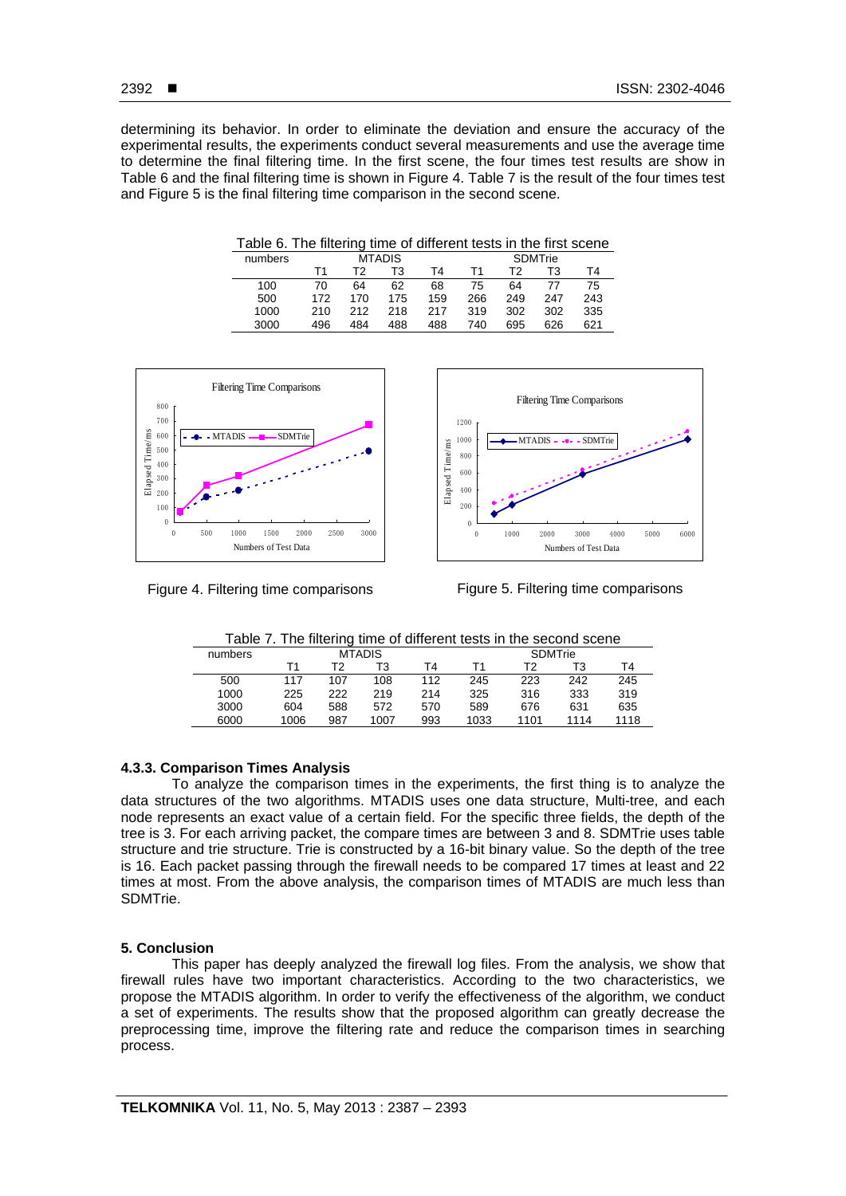determining its behavior. In order to eliminate the deviation and ensure the accuracy of the experimental results, the experiments conduct several measurements and use the average time to determine the final filtering time. In the first scene, the four times test results are show in Table 6 and the final filtering time is shown in Figure 4. Table 7 is the result of the four times test and Figure 5 is the final filtering time comparison in the second scene.

| numbers |     |     | <b>MTADIS</b> |     |     |     | <b>SDMTrie</b> |     |
|---------|-----|-----|---------------|-----|-----|-----|----------------|-----|
|         |     | тэ  | T3            | Τ4  | Т1  | тາ  | T3             | T4  |
| 100     | 70  | 64  | 62            | 68  | 75  | 64  |                | 75  |
| 500     | 172 | 170 | 175           | 159 | 266 | 249 | 247            | 243 |
| 1000    | 210 | 212 | 218           | 217 | 319 | 302 | 302            | 335 |
| 3000    | 496 | 484 | 488           | 488 | 740 | 695 | 626            | 621 |





Figure 4. Filtering time comparisons

Figure 5. Filtering time comparisons

Table 7. The filtering time of different tests in the second scene

|         |      | . .           |      |     |      |                |      |      |
|---------|------|---------------|------|-----|------|----------------|------|------|
| numbers |      | <b>MTADIS</b> |      |     |      | <b>SDMTrie</b> |      |      |
|         | ┰ィ   | T2            | T3   | T4  |      | Т2             | тз   | Τ4   |
| 500     | 117  | 107           | 108  | 112 | 245  | 223            | 242  | 245  |
| 1000    | 225  | 222           | 219  | 214 | 325  | 316            | 333  | 319  |
| 3000    | 604  | 588           | 572  | 570 | 589  | 676            | 631  | 635  |
| 6000    | 1006 | 987           | 1007 | 993 | 1033 | 1101           | 1114 | 1118 |

# **4.3.3. Comparison Times Analysis**

To analyze the comparison times in the experiments, the first thing is to analyze the data structures of the two algorithms. MTADIS uses one data structure, Multi-tree, and each node represents an exact value of a certain field. For the specific three fields, the depth of the tree is 3. For each arriving packet, the compare times are between 3 and 8. SDMTrie uses table structure and trie structure. Trie is constructed by a 16-bit binary value. So the depth of the tree is 16. Each packet passing through the firewall needs to be compared 17 times at least and 22 times at most. From the above analysis, the comparison times of MTADIS are much less than SDMTrie.

## **5. Conclusion**

This paper has deeply analyzed the firewall log files. From the analysis, we show that firewall rules have two important characteristics. According to the two characteristics, we propose the MTADIS algorithm. In order to verify the effectiveness of the algorithm, we conduct a set of experiments. The results show that the proposed algorithm can greatly decrease the preprocessing time, improve the filtering rate and reduce the comparison times in searching process.